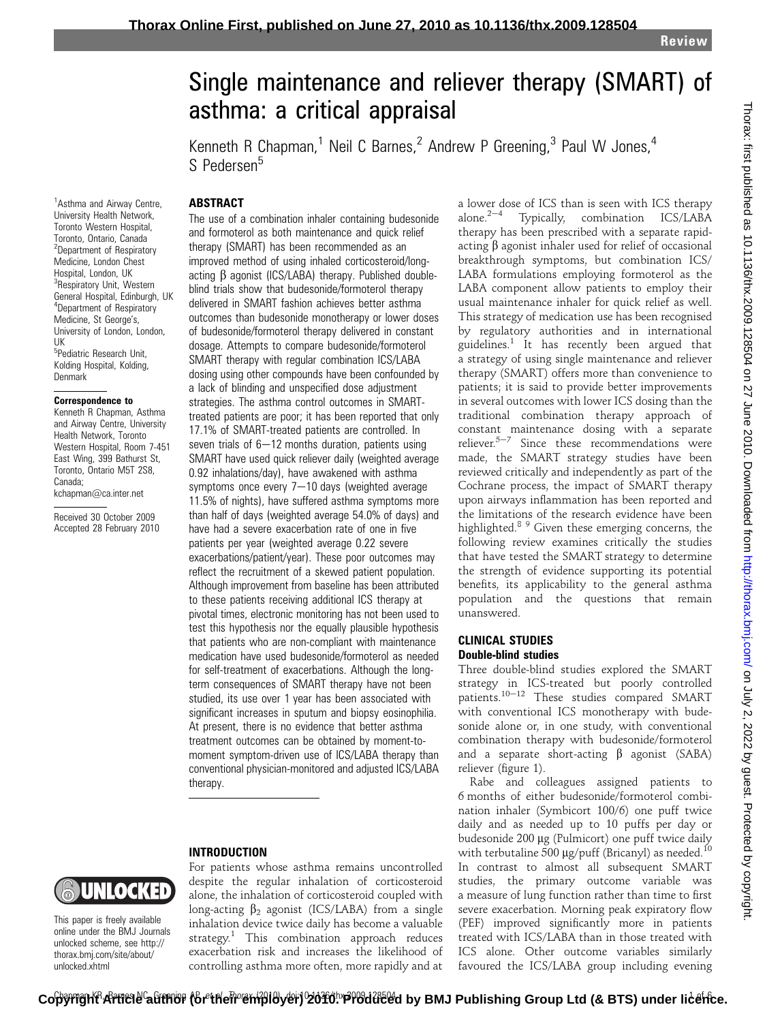# Thorax: first published as 10.1136/thx.2009.128504 on 27 June 2010. Downloaded from http://thorax.bmj.com/ on July 2, 2022 by guest. Protected by copyright on July 2, 2022 by guest. Protected by copyright. <http://thorax.bmj.com/> Thorax: first published as 10.1136/thx.2009.128504 on 27 June 2010. Downloaded from

# Single maintenance and reliever therapy (SMART) of asthma: a critical appraisal

Kenneth R Chapman,<sup>1</sup> Neil C Barnes,<sup>2</sup> Andrew P Greening,<sup>3</sup> Paul W Jones,<sup>4</sup> S Pedersen<sup>5</sup>

## ABSTRACT

<sup>1</sup> Asthma and Airway Centre, University Health Network, Toronto Western Hospital, Toronto, Ontario, Canada <sup>2</sup>Department of Respiratory Medicine, London Chest Hospital, London, UK <sup>3</sup>Respiratory Unit, Western General Hospital, Edinburgh, UK 4 Department of Respiratory Medicine, St George's, University of London, London, UK <sup>5</sup>Pediatric Research Unit,

Kolding Hospital, Kolding, Denmark

### Correspondence to

Kenneth R Chapman, Asthma and Airway Centre, University Health Network, Toronto Western Hospital, Room 7-451 East Wing, 399 Bathurst St, Toronto, Ontario M5T 2S8, Canada;

kchapman@ca.inter.net

Received 30 October 2009 Accepted 28 February 2010 and formoterol as both maintenance and quick relief therapy (SMART) has been recommended as an improved method of using inhaled corticosteroid/longacting  $\beta$  agonist (ICS/LABA) therapy. Published doubleblind trials show that budesonide/formoterol therapy delivered in SMART fashion achieves better asthma outcomes than budesonide monotherapy or lower doses of budesonide/formoterol therapy delivered in constant dosage. Attempts to compare budesonide/formoterol SMART therapy with regular combination ICS/LABA dosing using other compounds have been confounded by a lack of blinding and unspecified dose adjustment strategies. The asthma control outcomes in SMARTtreated patients are poor; it has been reported that only 17.1% of SMART-treated patients are controlled. In seven trials of  $6-12$  months duration, patients using SMART have used quick reliever daily (weighted average 0.92 inhalations/day), have awakened with asthma symptoms once every  $7-10$  days (weighted average 11.5% of nights), have suffered asthma symptoms more than half of days (weighted average 54.0% of days) and have had a severe exacerbation rate of one in five patients per year (weighted average 0.22 severe exacerbations/patient/year). These poor outcomes may reflect the recruitment of a skewed patient population. Although improvement from baseline has been attributed to these patients receiving additional ICS therapy at pivotal times, electronic monitoring has not been used to test this hypothesis nor the equally plausible hypothesis that patients who are non-compliant with maintenance medication have used budesonide/formoterol as needed for self-treatment of exacerbations. Although the longterm consequences of SMART therapy have not been studied, its use over 1 year has been associated with significant increases in sputum and biopsy eosinophilia. At present, there is no evidence that better asthma treatment outcomes can be obtained by moment-tomoment symptom-driven use of ICS/LABA therapy than conventional physician-monitored and adjusted ICS/LABA therapy.

The use of a combination inhaler containing budesonide

### INTRODUCTION

For patients whose asthma remains uncontrolled despite the regular inhalation of corticosteroid alone, the inhalation of corticosteroid coupled with long-acting  $\beta_2$  agonist (ICS/LABA) from a single inhalation device twice daily has become a valuable strategy.<sup>1</sup> This combination approach reduces exacerbation risk and increases the likelihood of controlling asthma more often, more rapidly and at a lower dose of ICS than is seen with ICS therapy alone. $2-4$  Typically, combination ICS/LABA therapy has been prescribed with a separate rapidacting  $\beta$  agonist inhaler used for relief of occasional breakthrough symptoms, but combination ICS/ LABA formulations employing formoterol as the LABA component allow patients to employ their usual maintenance inhaler for quick relief as well. This strategy of medication use has been recognised by regulatory authorities and in international guidelines.<sup>1</sup> It has recently been argued that a strategy of using single maintenance and reliever therapy (SMART) offers more than convenience to patients; it is said to provide better improvements in several outcomes with lower ICS dosing than the traditional combination therapy approach of constant maintenance dosing with a separate reliever. $5-7$  Since these recommendations were made, the SMART strategy studies have been reviewed critically and independently as part of the Cochrane process, the impact of SMART therapy upon airways inflammation has been reported and the limitations of the research evidence have been highlighted.8 9 Given these emerging concerns, the following review examines critically the studies that have tested the SMART strategy to determine the strength of evidence supporting its potential benefits, its applicability to the general asthma population and the questions that remain unanswered.

### CLINICAL STUDIES Double-blind studies

Three double-blind studies explored the SMART strategy in ICS-treated but poorly controlled patients.<sup>10-12</sup> These studies compared SMART with conventional ICS monotherapy with budesonide alone or, in one study, with conventional combination therapy with budesonide/formoterol and a separate short-acting  $\beta$  agonist (SABA) reliever (figure 1).

Rabe and colleagues assigned patients to 6 months of either budesonide/formoterol combination inhaler (Symbicort 100/6) one puff twice daily and as needed up to 10 puffs per day or budesonide 200 µg (Pulmicort) one puff twice daily with terbutaline  $500 \mu g/\text{puff}$  (Bricanyl) as needed.<sup>10</sup> In contrast to almost all subsequent SMART studies, the primary outcome variable was a measure of lung function rather than time to first severe exacerbation. Morning peak expiratory flow (PEF) improved significantly more in patients treated with ICS/LABA than in those treated with ICS alone. Other outcome variables similarly favoured the ICS/LABA group including evening



This paper is freely available online under the BMJ Journals unlocked scheme, see http:// thorax.bmj.com/site/about/ unlocked.xhtml

# Chapman KR, Barnes NC, Greening AP, et al. Thorax (2010). doi:10.1136/thx.2009.128504 1 of 6 **Copyright Article author (or their employer) 2010. Produced by BMJ Publishing Group Ltd (& BTS) under licence.**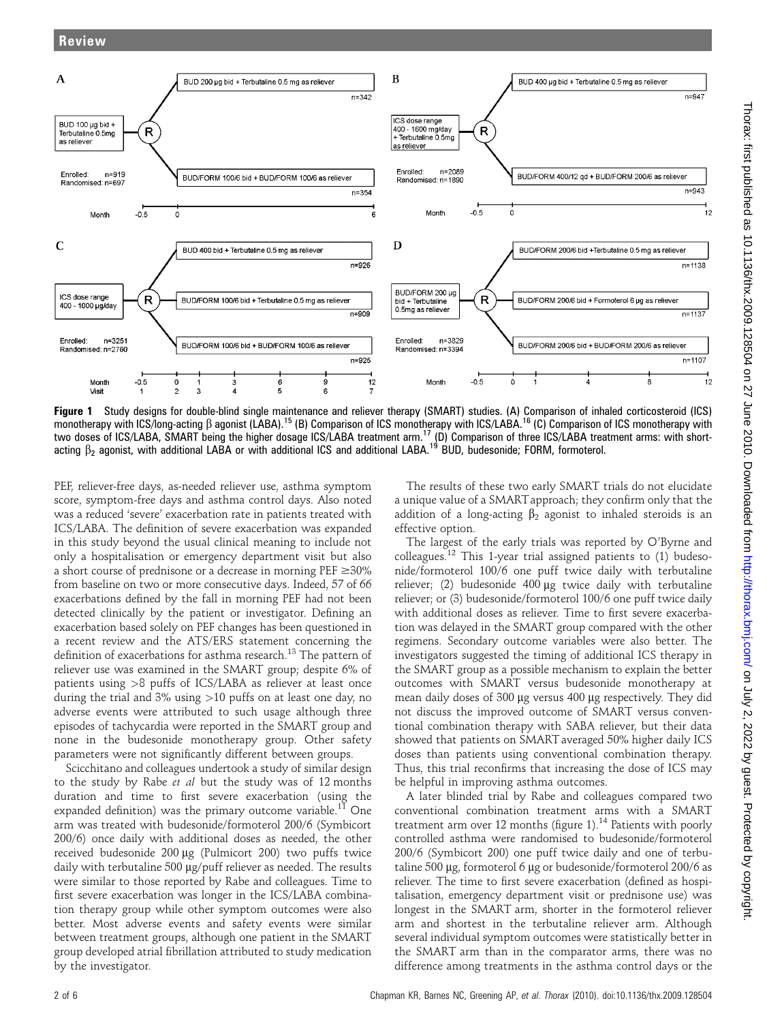

Figure 1 Study designs for double-blind single maintenance and reliever therapy (SMART) studies. (A) Comparison of inhaled corticosteroid (ICS) monotherapy with ICS/long-acting  $\beta$  agonist (LABA).<sup>15</sup> (B) Comparison of ICS monotherapy with ICS/LABA.<sup>16</sup> (C) Comparison of ICS monotherapy with two doses of ICS/LABA, SMART being the higher dosage ICS/LABA treatment arm.<sup>17</sup> (D) Comparison of three ICS/LABA treatment arms: with shortacting  $\beta_2$  agonist, with additional LABA or with additional ICS and additional LABA.<sup>19</sup> BUD, budesonide; FORM, formoterol.

PEF, reliever-free days, as-needed reliever use, asthma symptom score, symptom-free days and asthma control days. Also noted was a reduced 'severe' exacerbation rate in patients treated with ICS/LABA. The definition of severe exacerbation was expanded in this study beyond the usual clinical meaning to include not only a hospitalisation or emergency department visit but also a short course of prednisone or a decrease in morning  $PEF \geq 30\%$ from baseline on two or more consecutive days. Indeed, 57 of 66 exacerbations defined by the fall in morning PEF had not been detected clinically by the patient or investigator. Defining an exacerbation based solely on PEF changes has been questioned in a recent review and the ATS/ERS statement concerning the definition of exacerbations for asthma research.<sup>13</sup> The pattern of reliever use was examined in the SMART group; despite 6% of patients using >8 puffs of ICS/LABA as reliever at least once during the trial and 3% using >10 puffs on at least one day, no adverse events were attributed to such usage although three episodes of tachycardia were reported in the SMART group and none in the budesonide monotherapy group. Other safety parameters were not significantly different between groups.

Scicchitano and colleagues undertook a study of similar design to the study by Rabe et al but the study was of 12 months duration and time to first severe exacerbation (using the expanded definition) was the primary outcome variable.<sup>11</sup> One arm was treated with budesonide/formoterol 200/6 (Symbicort 200/6) once daily with additional doses as needed, the other received budesonide 200 µg (Pulmicort 200) two puffs twice daily with terbutaline 500 µg/puff reliever as needed. The results were similar to those reported by Rabe and colleagues. Time to first severe exacerbation was longer in the ICS/LABA combination therapy group while other symptom outcomes were also better. Most adverse events and safety events were similar between treatment groups, although one patient in the SMART group developed atrial fibrillation attributed to study medication by the investigator.

The results of these two early SMART trials do not elucidate a unique value of a SMARTapproach; they confirm only that the addition of a long-acting  $\beta_2$  agonist to inhaled steroids is an effective option.

The largest of the early trials was reported by O'Byrne and colleagues.<sup>12</sup> This 1-year trial assigned patients to (1) budesonide/formoterol 100/6 one puff twice daily with terbutaline reliever; (2) budesonide  $400 \mu$ g twice daily with terbutaline reliever; or (3) budesonide/formoterol 100/6 one puff twice daily with additional doses as reliever. Time to first severe exacerbation was delayed in the SMART group compared with the other regimens. Secondary outcome variables were also better. The investigators suggested the timing of additional ICS therapy in the SMART group as a possible mechanism to explain the better outcomes with SMART versus budesonide monotherapy at mean daily doses of 300 µg versus 400 µg respectively. They did not discuss the improved outcome of SMART versus conventional combination therapy with SABA reliever, but their data showed that patients on SMART averaged 50% higher daily ICS doses than patients using conventional combination therapy. Thus, this trial reconfirms that increasing the dose of ICS may be helpful in improving asthma outcomes.

A later blinded trial by Rabe and colleagues compared two conventional combination treatment arms with a SMART treatment arm over 12 months (figure 1).<sup>14</sup> Patients with poorly controlled asthma were randomised to budesonide/formoterol 200/6 (Symbicort 200) one puff twice daily and one of terbutaline 500 μg, formoterol 6 μg or budesonide/formoterol 200/6 as reliever. The time to first severe exacerbation (defined as hospitalisation, emergency department visit or prednisone use) was longest in the SMART arm, shorter in the formoterol reliever arm and shortest in the terbutaline reliever arm. Although several individual symptom outcomes were statistically better in the SMART arm than in the comparator arms, there was no difference among treatments in the asthma control days or the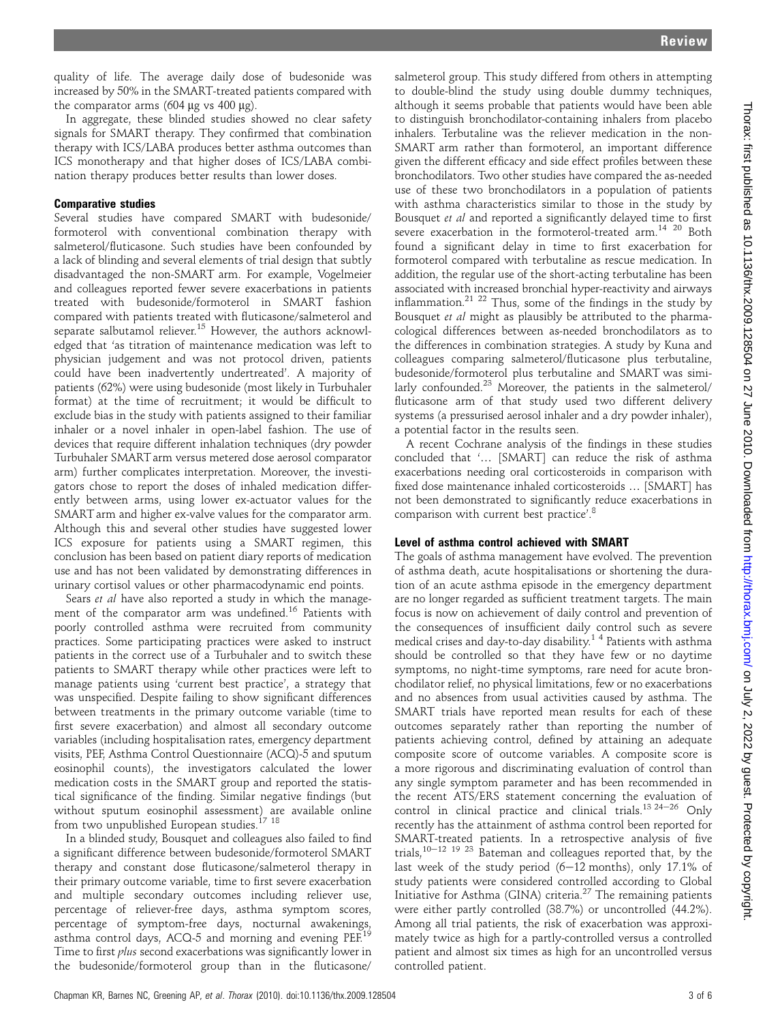quality of life. The average daily dose of budesonide was increased by 50% in the SMART-treated patients compared with the comparator arms  $(604 \text{ µg vs } 400 \text{ µg}).$ 

In aggregate, these blinded studies showed no clear safety signals for SMART therapy. They confirmed that combination therapy with ICS/LABA produces better asthma outcomes than ICS monotherapy and that higher doses of ICS/LABA combination therapy produces better results than lower doses.

### Comparative studies

Several studies have compared SMART with budesonide/ formoterol with conventional combination therapy with salmeterol/fluticasone. Such studies have been confounded by a lack of blinding and several elements of trial design that subtly disadvantaged the non-SMART arm. For example, Vogelmeier and colleagues reported fewer severe exacerbations in patients treated with budesonide/formoterol in SMART fashion compared with patients treated with fluticasone/salmeterol and separate salbutamol reliever.<sup>15</sup> However, the authors acknowledged that 'as titration of maintenance medication was left to physician judgement and was not protocol driven, patients could have been inadvertently undertreated'. A majority of patients (62%) were using budesonide (most likely in Turbuhaler format) at the time of recruitment; it would be difficult to exclude bias in the study with patients assigned to their familiar inhaler or a novel inhaler in open-label fashion. The use of devices that require different inhalation techniques (dry powder Turbuhaler SMART arm versus metered dose aerosol comparator arm) further complicates interpretation. Moreover, the investigators chose to report the doses of inhaled medication differently between arms, using lower ex-actuator values for the SMART arm and higher ex-valve values for the comparator arm. Although this and several other studies have suggested lower ICS exposure for patients using a SMART regimen, this conclusion has been based on patient diary reports of medication use and has not been validated by demonstrating differences in urinary cortisol values or other pharmacodynamic end points.

Sears et al have also reported a study in which the management of the comparator arm was undefined.<sup>16</sup> Patients with poorly controlled asthma were recruited from community practices. Some participating practices were asked to instruct patients in the correct use of a Turbuhaler and to switch these patients to SMART therapy while other practices were left to manage patients using 'current best practice', a strategy that was unspecified. Despite failing to show significant differences between treatments in the primary outcome variable (time to first severe exacerbation) and almost all secondary outcome variables (including hospitalisation rates, emergency department visits, PEF, Asthma Control Questionnaire (ACQ)-5 and sputum eosinophil counts), the investigators calculated the lower medication costs in the SMART group and reported the statistical significance of the finding. Similar negative findings (but without sputum eosinophil assessment) are available online from two unpublished European studies. $^{\rm 17}$   $^{\rm 18}$ 

In a blinded study, Bousquet and colleagues also failed to find a significant difference between budesonide/formoterol SMART therapy and constant dose fluticasone/salmeterol therapy in their primary outcome variable, time to first severe exacerbation and multiple secondary outcomes including reliever use, percentage of reliever-free days, asthma symptom scores, percentage of symptom-free days, nocturnal awakenings, asthma control days, ACQ-5 and morning and evening  $PEF<sup>19</sup>$ Time to first plus second exacerbations was significantly lower in the budesonide/formoterol group than in the fluticasone/

salmeterol group. This study differed from others in attempting to double-blind the study using double dummy techniques, although it seems probable that patients would have been able to distinguish bronchodilator-containing inhalers from placebo inhalers. Terbutaline was the reliever medication in the non-SMART arm rather than formoterol, an important difference given the different efficacy and side effect profiles between these bronchodilators. Two other studies have compared the as-needed use of these two bronchodilators in a population of patients with asthma characteristics similar to those in the study by Bousquet et al and reported a significantly delayed time to first severe exacerbation in the formoterol-treated arm.<sup>14 20</sup> Both found a significant delay in time to first exacerbation for formoterol compared with terbutaline as rescue medication. In addition, the regular use of the short-acting terbutaline has been associated with increased bronchial hyper-reactivity and airways inflammation.<sup>21 22</sup> Thus, some of the findings in the study by Bousquet et al might as plausibly be attributed to the pharmacological differences between as-needed bronchodilators as to the differences in combination strategies. A study by Kuna and colleagues comparing salmeterol/fluticasone plus terbutaline, budesonide/formoterol plus terbutaline and SMART was similarly confounded.<sup>23</sup> Moreover, the patients in the salmeterol/ fluticasone arm of that study used two different delivery systems (a pressurised aerosol inhaler and a dry powder inhaler), a potential factor in the results seen.

A recent Cochrane analysis of the findings in these studies concluded that '... [SMART] can reduce the risk of asthma exacerbations needing oral corticosteroids in comparison with fixed dose maintenance inhaled corticosteroids ... [SMART] has not been demonstrated to significantly reduce exacerbations in comparison with current best practice'.<sup>8</sup>

# Level of asthma control achieved with SMART

The goals of asthma management have evolved. The prevention of asthma death, acute hospitalisations or shortening the duration of an acute asthma episode in the emergency department are no longer regarded as sufficient treatment targets. The main focus is now on achievement of daily control and prevention of the consequences of insufficient daily control such as severe medical crises and day-to-day disability.<sup>14</sup> Patients with asthma should be controlled so that they have few or no daytime symptoms, no night-time symptoms, rare need for acute bronchodilator relief, no physical limitations, few or no exacerbations and no absences from usual activities caused by asthma. The SMART trials have reported mean results for each of these outcomes separately rather than reporting the number of patients achieving control, defined by attaining an adequate composite score of outcome variables. A composite score is a more rigorous and discriminating evaluation of control than any single symptom parameter and has been recommended in the recent ATS/ERS statement concerning the evaluation of control in clinical practice and clinical trials.<sup>13 24-26</sup> Only recently has the attainment of asthma control been reported for SMART-treated patients. In a retrospective analysis of five trials,<sup>10-12 19 23</sup> Bateman and colleagues reported that, by the last week of the study period  $(6-12 \text{ months})$ , only 17.1% of study patients were considered controlled according to Global Initiative for Asthma (GINA) criteria.<sup>27</sup> The remaining patients were either partly controlled (38.7%) or uncontrolled (44.2%). Among all trial patients, the risk of exacerbation was approximately twice as high for a partly-controlled versus a controlled patient and almost six times as high for an uncontrolled versus controlled patient.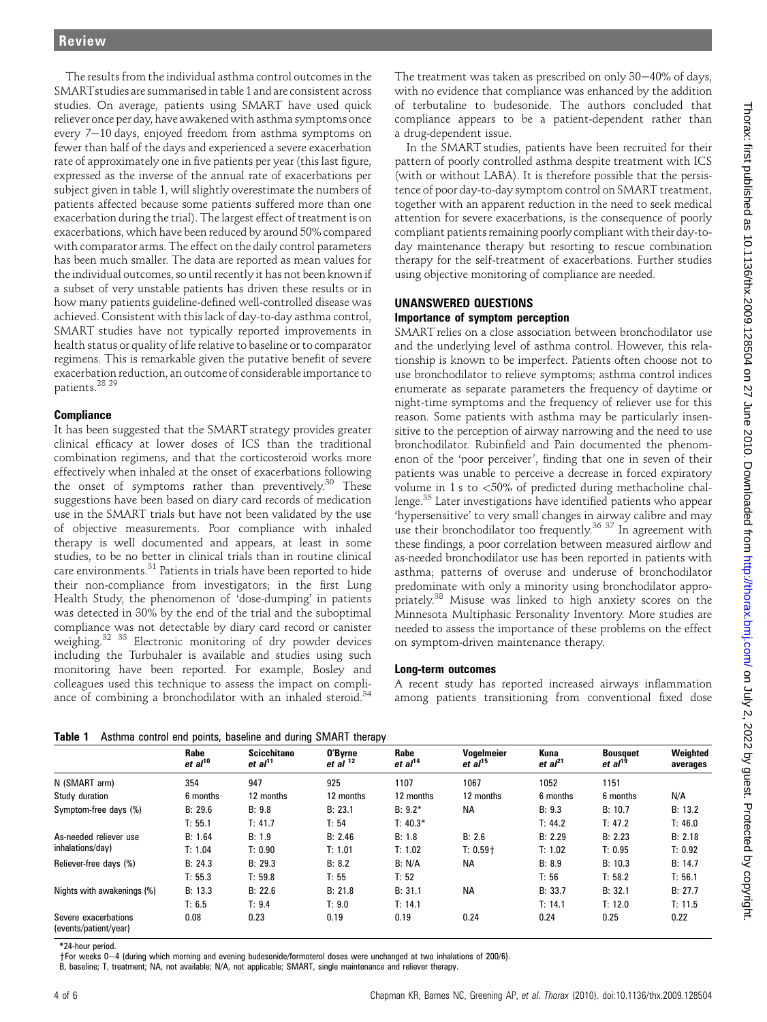The results from the individual asthma control outcomes in the SMARTstudies are summarised in table 1 and are consistent across studies. On average, patients using SMART have used quick reliever once per day, have awakened with asthma symptoms once every  $7-10$  days, enjoyed freedom from asthma symptoms on fewer than half of the days and experienced a severe exacerbation rate of approximately one in five patients per year (this last figure, expressed as the inverse of the annual rate of exacerbations per subject given in table 1, will slightly overestimate the numbers of patients affected because some patients suffered more than one exacerbation during the trial). The largest effect of treatment is on exacerbations, which have been reduced by around 50% compared with comparator arms. The effect on the daily control parameters has been much smaller. The data are reported as mean values for the individual outcomes, so until recently it has not been known if a subset of very unstable patients has driven these results or in how many patients guideline-defined well-controlled disease was achieved. Consistent with this lack of day-to-day asthma control, SMART studies have not typically reported improvements in health status or quality of life relative to baseline or to comparator regimens. This is remarkable given the putative benefit of severe exacerbation reduction, an outcome of considerable importance to patients.<sup>28</sup> <sup>29</sup>

# **Compliance**

It has been suggested that the SMART strategy provides greater clinical efficacy at lower doses of ICS than the traditional combination regimens, and that the corticosteroid works more effectively when inhaled at the onset of exacerbations following the onset of symptoms rather than preventively.<sup>30</sup> These suggestions have been based on diary card records of medication use in the SMART trials but have not been validated by the use of objective measurements. Poor compliance with inhaled therapy is well documented and appears, at least in some studies, to be no better in clinical trials than in routine clinical care environments.<sup>31</sup> Patients in trials have been reported to hide their non-compliance from investigators; in the first Lung Health Study, the phenomenon of 'dose-dumping' in patients was detected in 30% by the end of the trial and the suboptimal compliance was not detectable by diary card record or canister weighing.32 33 Electronic monitoring of dry powder devices including the Turbuhaler is available and studies using such monitoring have been reported. For example, Bosley and colleagues used this technique to assess the impact on compliance of combining a bronchodilator with an inhaled steroid.<sup>34</sup>

The treatment was taken as prescribed on only  $30-40\%$  of days, with no evidence that compliance was enhanced by the addition of terbutaline to budesonide. The authors concluded that compliance appears to be a patient-dependent rather than a drug-dependent issue.

In the SMART studies, patients have been recruited for their pattern of poorly controlled asthma despite treatment with ICS (with or without LABA). It is therefore possible that the persistence of poor day-to-day symptom control on SMART treatment, together with an apparent reduction in the need to seek medical attention for severe exacerbations, is the consequence of poorly compliant patients remaining poorly compliant with their day-today maintenance therapy but resorting to rescue combination therapy for the self-treatment of exacerbations. Further studies using objective monitoring of compliance are needed.

# UNANSWERED QUESTIONS Importance of symptom perception

SMART relies on a close association between bronchodilator use and the underlying level of asthma control. However, this relationship is known to be imperfect. Patients often choose not to use bronchodilator to relieve symptoms; asthma control indices enumerate as separate parameters the frequency of daytime or night-time symptoms and the frequency of reliever use for this reason. Some patients with asthma may be particularly insensitive to the perception of airway narrowing and the need to use bronchodilator. Rubinfield and Pain documented the phenomenon of the 'poor perceiver', finding that one in seven of their patients was unable to perceive a decrease in forced expiratory volume in 1 s to <50% of predicted during methacholine challenge.<sup>35</sup> Later investigations have identified patients who appear 'hypersensitive' to very small changes in airway calibre and may use their bronchodilator too frequently.<sup>36 37</sup> In agreement with these findings, a poor correlation between measured airflow and as-needed bronchodilator use has been reported in patients with asthma; patterns of overuse and underuse of bronchodilator predominate with only a minority using bronchodilator appropriately.38 Misuse was linked to high anxiety scores on the Minnesota Multiphasic Personality Inventory. More studies are needed to assess the importance of these problems on the effect on symptom-driven maintenance therapy.

# Long-term outcomes

A recent study has reported increased airways inflammation among patients transitioning from conventional fixed dose

Table 1 Asthma control end points, baseline and during SMART therapy

|                                               | Rabe<br>et al <sup>10</sup> | <b>Scicchitano</b><br>et al <sup>11</sup> | 0'Byrne<br>et al $12$ | Rabe<br>et al <sup>14</sup> | Vogelmeier<br>et al <sup>15</sup> | <b>Kuna</b><br>et al <sup>21</sup> | <b>Bousquet</b><br>et al <sup>19</sup> | Weighted<br>averages |
|-----------------------------------------------|-----------------------------|-------------------------------------------|-----------------------|-----------------------------|-----------------------------------|------------------------------------|----------------------------------------|----------------------|
| N (SMART arm)                                 | 354                         | 947                                       | 925                   | 1107                        | 1067                              | 1052                               | 1151                                   |                      |
| Study duration                                | 6 months                    | 12 months                                 | 12 months             | 12 months                   | 12 months                         | 6 months                           | 6 months                               | N/A                  |
| Symptom-free days (%)                         | B: 29.6                     | B: 9.8                                    | B: 23.1               | $B: 9.2*$                   | NA                                | B: 9.3                             | B: 10.7                                | B: 13.2              |
|                                               | T: 55.1                     | T: 41.7                                   | T: 54                 | $T: 40.3*$                  |                                   | T: 44.2                            | T: 47.2                                | T: 46.0              |
| As-needed reliever use<br>inhalations/day)    | B: 1.64                     | B: 1.9                                    | B: 2.46               | B: 1.8                      | B: 2.6                            | B: 2.29                            | B: 2.23                                | B: 2.18              |
|                                               | T: 1.04                     | T: 0.90                                   | T: 1.01               | T: 1.02                     | $T: 0.59 +$                       | T: 1.02                            | T: 0.95                                | T: 0.92              |
| Reliever-free days (%)                        | B: 24.3                     | B: 29.3                                   | B: 8.2                | B: N/A                      | NA                                | B: 8.9                             | B: 10.3                                | B: 14.7              |
|                                               | T: 55.3                     | T: 59.8                                   | T: 55                 | T: 52                       |                                   | T: 56                              | T: 58.2                                | T: 56.1              |
| Nights with awakenings (%)                    | B: 13.3                     | B: 22.6                                   | B: 21.8               | B: 31.1                     | <b>NA</b>                         | B: 33.7                            | B: 32.1                                | B: 27.7              |
|                                               | T: 6.5                      | T: 9.4                                    | T: 9.0                | T: 14.1                     |                                   | T: 14.1                            | T: 12.0                                | T: 11.5              |
| Severe exacerbations<br>(events/patient/year) | 0.08                        | 0.23                                      | 0.19                  | 0.19                        | 0.24                              | 0.24                               | 0.25                                   | 0.22                 |

\*24-hour period.

yFor weeks 0e4 (during which morning and evening budesonide/formoterol doses were unchanged at two inhalations of 200/6).

B, baseline; T, treatment; NA, not available; N/A, not applicable; SMART, single maintenance and reliever therapy.

Thorax: first published as 10.1136/thx.2009.128504 on 27 June 2010. Downloaded from http://thorax.bmj.com/ on July 2, 2022 by guest. Protected by copyright on July 2, 2022 by guest. Protected by copyright. <http://thorax.bmj.com/> Thorax: first published as 10.1136/thx.2009.128504 on 27 June 2010. Downloaded from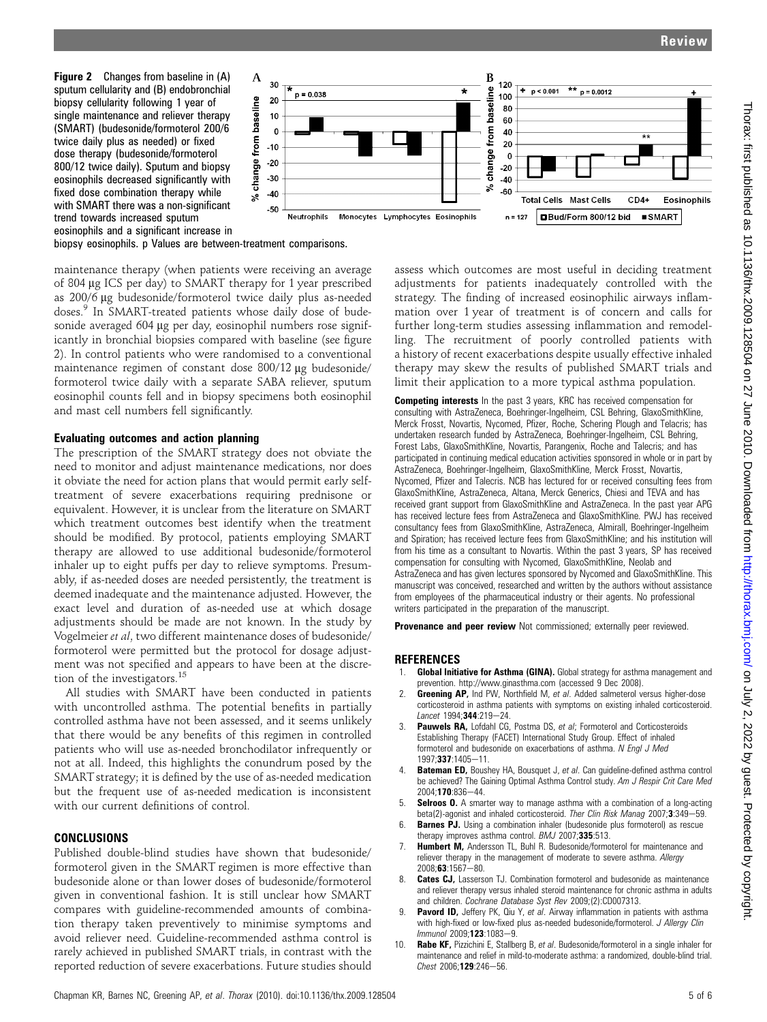

biopsy eosinophils. p Values are between-treatment comparisons.

maintenance therapy (when patients were receiving an average of 804 mg ICS per day) to SMART therapy for 1 year prescribed as 200/6 µg budesonide/formoterol twice daily plus as-needed doses.<sup>9</sup> In SMART-treated patients whose daily dose of budesonide averaged 604 µg per day, eosinophil numbers rose significantly in bronchial biopsies compared with baseline (see figure 2). In control patients who were randomised to a conventional maintenance regimen of constant dose  $800/12 \mu$ g budesonide/ formoterol twice daily with a separate SABA reliever, sputum eosinophil counts fell and in biopsy specimens both eosinophil and mast cell numbers fell significantly.

### Evaluating outcomes and action planning

twice daily plus as needed) or fixed

trend towards increased sputum

The prescription of the SMART strategy does not obviate the need to monitor and adjust maintenance medications, nor does it obviate the need for action plans that would permit early selftreatment of severe exacerbations requiring prednisone or equivalent. However, it is unclear from the literature on SMART which treatment outcomes best identify when the treatment should be modified. By protocol, patients employing SMART therapy are allowed to use additional budesonide/formoterol inhaler up to eight puffs per day to relieve symptoms. Presumably, if as-needed doses are needed persistently, the treatment is deemed inadequate and the maintenance adjusted. However, the exact level and duration of as-needed use at which dosage adjustments should be made are not known. In the study by Vogelmeier et al, two different maintenance doses of budesonide/ formoterol were permitted but the protocol for dosage adjustment was not specified and appears to have been at the discretion of the investigators.<sup>15</sup>

All studies with SMART have been conducted in patients with uncontrolled asthma. The potential benefits in partially controlled asthma have not been assessed, and it seems unlikely that there would be any benefits of this regimen in controlled patients who will use as-needed bronchodilator infrequently or not at all. Indeed, this highlights the conundrum posed by the SMART strategy; it is defined by the use of as-needed medication but the frequent use of as-needed medication is inconsistent with our current definitions of control.

### CONCLUSIONS

Published double-blind studies have shown that budesonide/ formoterol given in the SMART regimen is more effective than budesonide alone or than lower doses of budesonide/formoterol given in conventional fashion. It is still unclear how SMART compares with guideline-recommended amounts of combination therapy taken preventively to minimise symptoms and avoid reliever need. Guideline-recommended asthma control is rarely achieved in published SMART trials, in contrast with the reported reduction of severe exacerbations. Future studies should

assess which outcomes are most useful in deciding treatment adjustments for patients inadequately controlled with the strategy. The finding of increased eosinophilic airways inflammation over 1 year of treatment is of concern and calls for further long-term studies assessing inflammation and remodelling. The recruitment of poorly controlled patients with a history of recent exacerbations despite usually effective inhaled therapy may skew the results of published SMART trials and limit their application to a more typical asthma population.

Competing interests In the past 3 years, KRC has received compensation for consulting with AstraZeneca, Boehringer-Ingelheim, CSL Behring, GlaxoSmithKline, Merck Frosst, Novartis, Nycomed, Pfizer, Roche, Schering Plough and Telacris; has undertaken research funded by AstraZeneca, Boehringer-Ingelheim, CSL Behring, Forest Labs, GlaxoSmithKline, Novartis, Parangenix, Roche and Talecris; and has participated in continuing medical education activities sponsored in whole or in part by AstraZeneca, Boehringer-Ingelheim, GlaxoSmithKline, Merck Frosst, Novartis, Nycomed, Pfizer and Talecris. NCB has lectured for or received consulting fees from GlaxoSmithKline, AstraZeneca, Altana, Merck Generics, Chiesi and TEVA and has received grant support from GlaxoSmithKline and AstraZeneca. In the past year APG has received lecture fees from AstraZeneca and GlaxoSmithKline. PWJ has received consultancy fees from GlaxoSmithKline, AstraZeneca, Almirall, Boehringer-Ingelheim and Spiration; has received lecture fees from GlaxoSmithKline; and his institution will from his time as a consultant to Novartis. Within the past 3 years, SP has received compensation for consulting with Nycomed, GlaxoSmithKline, Neolab and AstraZeneca and has given lectures sponsored by Nycomed and GlaxoSmithKline. This manuscript was conceived, researched and written by the authors without assistance from employees of the pharmaceutical industry or their agents. No professional writers participated in the preparation of the manuscript.

Provenance and peer review Not commissioned; externally peer reviewed.

### **REFERENCES**

- 1. Global Initiative for Asthma (GINA). Global strategy for asthma management and prevention. http://www.ginasthma.com (accessed 9 Dec 2008).
- Greening AP, Ind PW, Northfield M, et al. Added salmeterol versus higher-dose corticosteroid in asthma patients with symptoms on existing inhaled corticosteroid. Lancet 1994;344:219-24.
- 3. Pauwels RA, Lofdahl CG, Postma DS, et al; Formoterol and Corticosteroids Establishing Therapy (FACET) International Study Group. Effect of inhaled formoterol and budesonide on exacerbations of asthma. N Engl J Med 1997;337:1405-11.
- 4. **Bateman ED,** Boushey HA, Bousquet J, et al. Can guideline-defined asthma control be achieved? The Gaining Optimal Asthma Control study. Am J Respir Crit Care Med  $2004 \cdot 170 \cdot 836 - 44$
- 5. **Selroos 0.** A smarter way to manage asthma with a combination of a long-acting beta(2)-agonist and inhaled corticosteroid. Ther Clin Risk Manag 2007;3:349-59.
- 6. Barnes PJ. Using a combination inhaler (budesonide plus formoterol) as rescue therapy improves asthma control. BMJ 2007;335:513.
- 7. Humbert M, Andersson TL, Buhl R. Budesonide/formoterol for maintenance and reliever therapy in the management of moderate to severe asthma. Allergy  $2008:63:1567 - 80.$
- 8. **Cates CJ,** Lasserson TJ. Combination formoterol and budesonide as maintenance and reliever therapy versus inhaled steroid maintenance for chronic asthma in adults and children. Cochrane Database Syst Rev 2009;(2):CD007313.
- 9. Pavord ID, Jeffery PK, Qiu Y, et al. Airway inflammation in patients with asthma with high-fixed or low-fixed plus as-needed budesonide/formoterol. J Allergy Clin Immunol 2009;123:1083-9.
- 10. Rabe KF, Pizzichini E, Stallberg B, et al. Budesonide/formoterol in a single inhaler for maintenance and relief in mild-to-moderate asthma: a randomized, double-blind trial.  $Check 2006: 129:246 - 56$